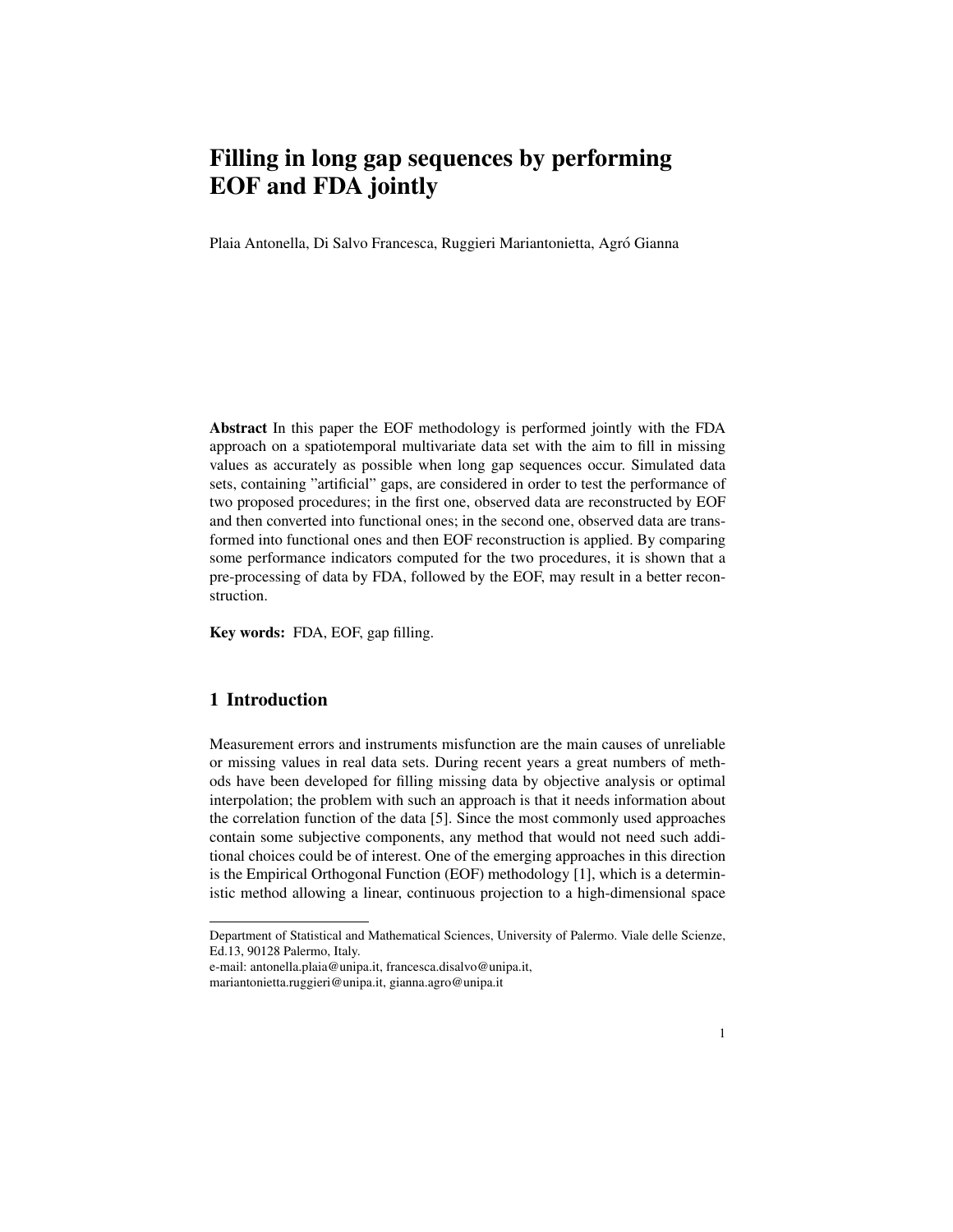# Filling in long gap sequences by performing EOF and FDA jointly

Plaia Antonella, Di Salvo Francesca, Ruggieri Mariantonietta, Agró Gianna

Abstract In this paper the EOF methodology is performed jointly with the FDA approach on a spatiotemporal multivariate data set with the aim to fill in missing values as accurately as possible when long gap sequences occur. Simulated data sets, containing "artificial" gaps, are considered in order to test the performance of two proposed procedures; in the first one, observed data are reconstructed by EOF and then converted into functional ones; in the second one, observed data are transformed into functional ones and then EOF reconstruction is applied. By comparing some performance indicators computed for the two procedures, it is shown that a pre-processing of data by FDA, followed by the EOF, may result in a better reconstruction.

Key words: FDA, EOF, gap filling.

## 1 Introduction

Measurement errors and instruments misfunction are the main causes of unreliable or missing values in real data sets. During recent years a great numbers of methods have been developed for filling missing data by objective analysis or optimal interpolation; the problem with such an approach is that it needs information about the correlation function of the data [5]. Since the most commonly used approaches contain some subjective components, any method that would not need such additional choices could be of interest. One of the emerging approaches in this direction is the Empirical Orthogonal Function (EOF) methodology [1], which is a deterministic method allowing a linear, continuous projection to a high-dimensional space

Department of Statistical and Mathematical Sciences, University of Palermo. Viale delle Scienze, Ed.13, 90128 Palermo, Italy.

e-mail: antonella.plaia@unipa.it, francesca.disalvo@unipa.it, mariantonietta.ruggieri@unipa.it, gianna.agro@unipa.it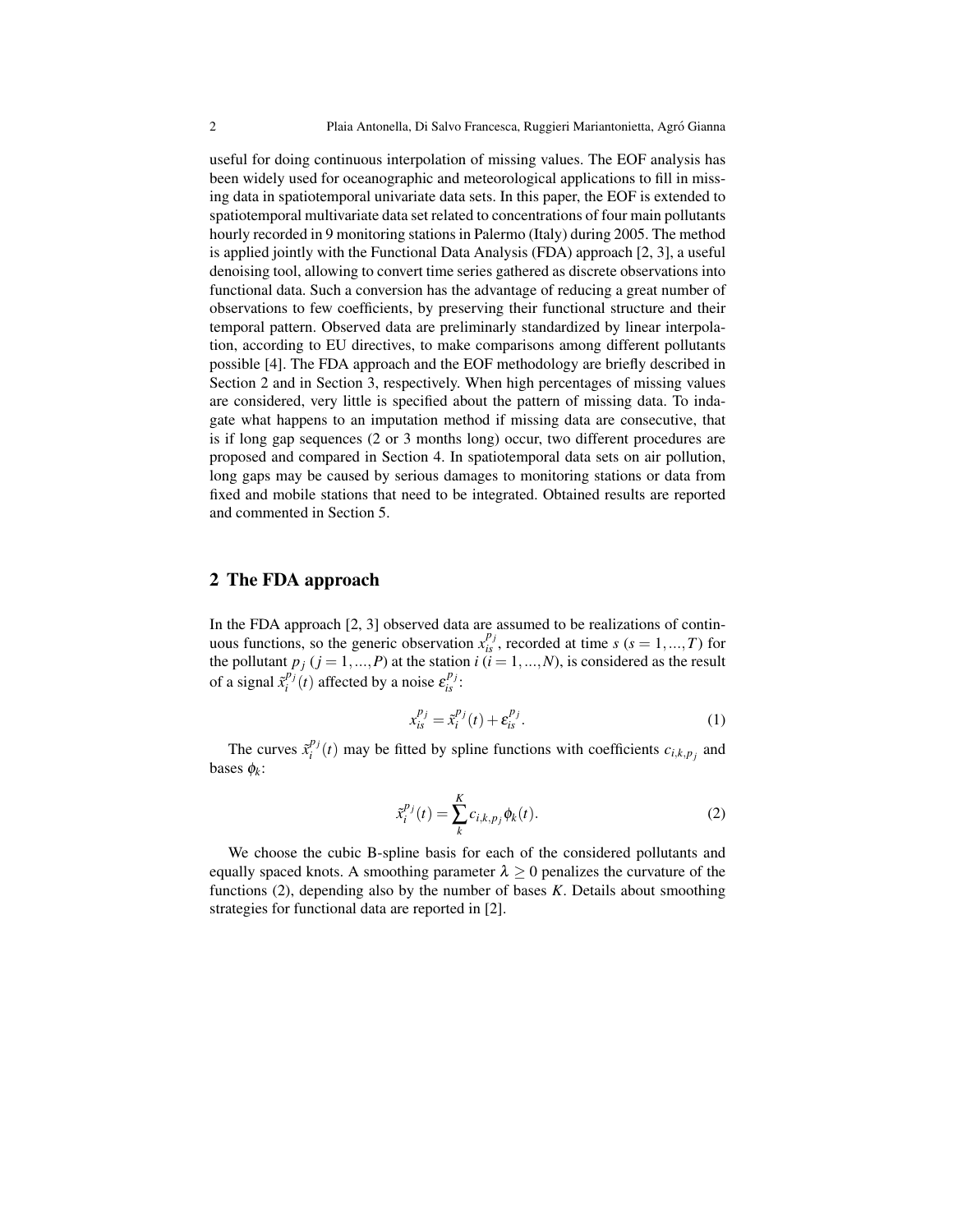useful for doing continuous interpolation of missing values. The EOF analysis has been widely used for oceanographic and meteorological applications to fill in missing data in spatiotemporal univariate data sets. In this paper, the EOF is extended to spatiotemporal multivariate data set related to concentrations of four main pollutants hourly recorded in 9 monitoring stations in Palermo (Italy) during 2005. The method is applied jointly with the Functional Data Analysis (FDA) approach [2, 3], a useful denoising tool, allowing to convert time series gathered as discrete observations into functional data. Such a conversion has the advantage of reducing a great number of observations to few coefficients, by preserving their functional structure and their temporal pattern. Observed data are preliminarly standardized by linear interpolation, according to EU directives, to make comparisons among different pollutants possible [4]. The FDA approach and the EOF methodology are briefly described in Section 2 and in Section 3, respectively. When high percentages of missing values are considered, very little is specified about the pattern of missing data. To indagate what happens to an imputation method if missing data are consecutive, that is if long gap sequences (2 or 3 months long) occur, two different procedures are proposed and compared in Section 4. In spatiotemporal data sets on air pollution, long gaps may be caused by serious damages to monitoring stations or data from fixed and mobile stations that need to be integrated. Obtained results are reported and commented in Section 5.

#### 2 The FDA approach

In the FDA approach [2, 3] observed data are assumed to be realizations of continuous functions, so the generic observation  $x_{is}^{p_j}$ , recorded at time *s* (*s* = 1, ..., *T*) for the pollutant  $p_j$  ( $j = 1, ..., P$ ) at the station  $i$  ( $i = 1, ..., N$ ), is considered as the result of a signal  $\tilde{x}_i^{p_j}(t)$  affected by a noise  $\varepsilon_{is}^{p_j}$ :

$$
x_{is}^{p_j} = \tilde{x}_i^{p_j}(t) + \varepsilon_{is}^{p_j}.
$$
 (1)

The curves  $\tilde{x}_i^{p_j}(t)$  may be fitted by spline functions with coefficients  $c_{i,k,p_j}$  and bases φ*<sup>k</sup>* :

$$
\tilde{x}_i^{p_j}(t) = \sum_{k}^{K} c_{i,k,p_j} \phi_k(t). \tag{2}
$$

We choose the cubic B-spline basis for each of the considered pollutants and equally spaced knots. A smoothing parameter  $\lambda \geq 0$  penalizes the curvature of the functions (2), depending also by the number of bases *K*. Details about smoothing strategies for functional data are reported in [2].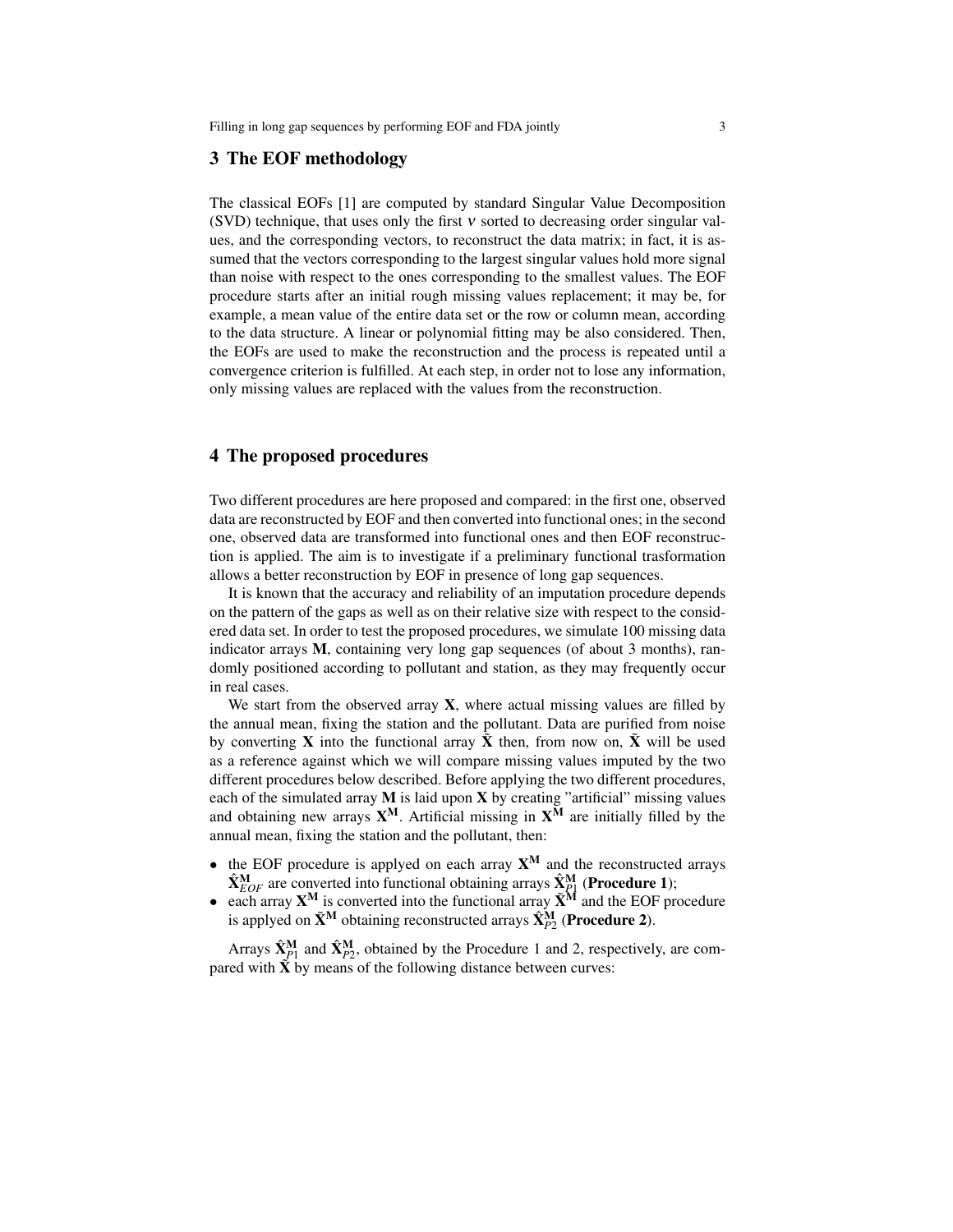#### 3 The EOF methodology

The classical EOFs [1] are computed by standard Singular Value Decomposition (SVD) technique, that uses only the first ν sorted to decreasing order singular values, and the corresponding vectors, to reconstruct the data matrix; in fact, it is assumed that the vectors corresponding to the largest singular values hold more signal than noise with respect to the ones corresponding to the smallest values. The EOF procedure starts after an initial rough missing values replacement; it may be, for example, a mean value of the entire data set or the row or column mean, according to the data structure. A linear or polynomial fitting may be also considered. Then, the EOFs are used to make the reconstruction and the process is repeated until a convergence criterion is fulfilled. At each step, in order not to lose any information, only missing values are replaced with the values from the reconstruction.

### 4 The proposed procedures

Two different procedures are here proposed and compared: in the first one, observed data are reconstructed by EOF and then converted into functional ones; in the second one, observed data are transformed into functional ones and then EOF reconstruction is applied. The aim is to investigate if a preliminary functional trasformation allows a better reconstruction by EOF in presence of long gap sequences.

It is known that the accuracy and reliability of an imputation procedure depends on the pattern of the gaps as well as on their relative size with respect to the considered data set. In order to test the proposed procedures, we simulate 100 missing data indicator arrays M, containing very long gap sequences (of about 3 months), randomly positioned according to pollutant and station, as they may frequently occur in real cases.

We start from the observed array  $X$ , where actual missing values are filled by the annual mean, fixing the station and the pollutant. Data are purified from noise by converting **X** into the functional array  $\tilde{\mathbf{X}}$  then, from now on,  $\tilde{\mathbf{X}}$  will be used as a reference against which we will compare missing values imputed by the two different procedures below described. Before applying the two different procedures, each of the simulated array  $M$  is laid upon  $X$  by creating "artificial" missing values and obtaining new arrays  $X^M$ . Artificial missing in  $X^M$  are initially filled by the annual mean, fixing the station and the pollutant, then:

- the EOF procedure is applyed on each array  $X^M$  and the reconstructed arrays  $\hat{\mathbf{X}}_{EOF}^{\mathbf{M}}$  are converted into functional obtaining arrays  $\hat{\mathbf{X}}_{P1}^{\mathbf{M}}$  (**Procedure 1**);
- each array  $X^M$  is converted into the functional array  $\tilde{X}^{\tilde{M}}$  and the EOF procedure is applyed on  $\tilde{\mathbf{X}}^{\text{M}}$  obtaining reconstructed arrays  $\hat{\mathbf{X}}_{P2}^{\text{M}}$  (**Procedure 2**).

Arrays  $\hat{\mathbf{X}}_{p1}^{\mathbf{M}}$  and  $\hat{\mathbf{X}}_{p2}^{\mathbf{M}}$ , obtained by the Procedure 1 and 2, respectively, are compared with  $\hat{\mathbf{X}}$  by means of the following distance between curves: